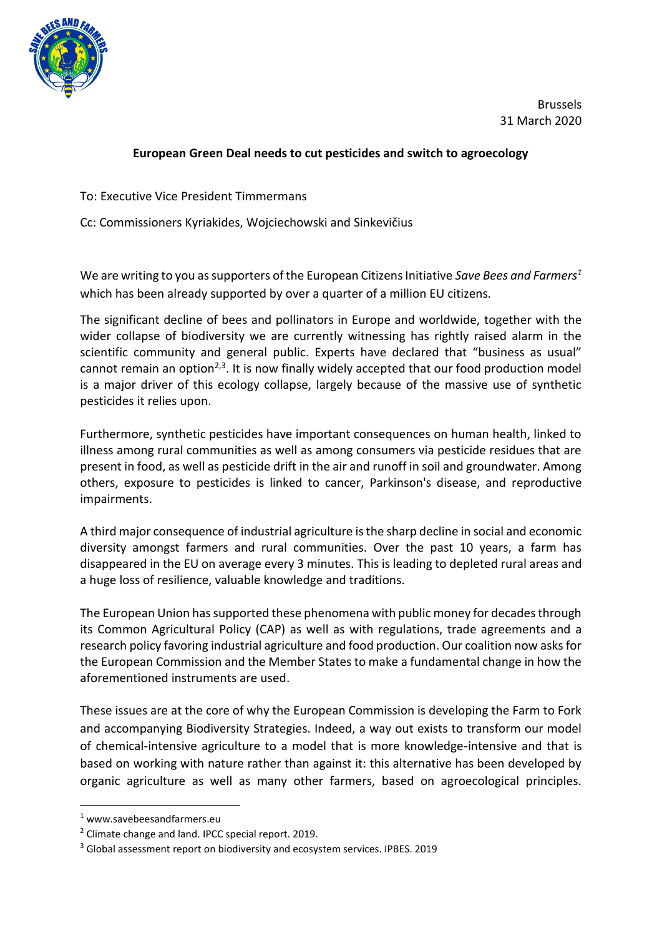

Brussels 31 March 2020

## **European Green Deal needs to cut pesticides and switch to agroecology**

To: Executive Vice President Timmermans

Cc: Commissioners Kyriakides, Wojciechowski and Sinkevičius

We are writing to you as supporters of the European Citizens Initiative *Save Bees and Farmers<sup>1</sup>* which has been already supported by over a quarter of a million EU citizens.

The significant decline of bees and pollinators in Europe and worldwide, together with the wider collapse of biodiversity we are currently witnessing has rightly raised alarm in the scientific community and general public. Experts have declared that "business as usual" cannot remain an option<sup>2,3</sup>. It is now finally widely accepted that our food production model is a major driver of this ecology collapse, largely because of the massive use of synthetic pesticides it relies upon.

Furthermore, synthetic pesticides have important consequences on human health, linked to illness among rural communities as well as among consumers via pesticide residues that are present in food, as well as pesticide drift in the air and runoff in soil and groundwater. Among others, exposure to pesticides is linked to cancer, Parkinson's disease, and reproductive impairments.

A third major consequence of industrial agriculture is the sharp decline in social and economic diversity amongst farmers and rural communities. Over the past 10 years, a farm has disappeared in the EU on average every 3 minutes. This is leading to depleted rural areas and a huge loss of resilience, valuable knowledge and traditions.

The European Union has supported these phenomena with public money for decades through its Common Agricultural Policy (CAP) as well as with regulations, trade agreements and a research policy favoring industrial agriculture and food production. Our coalition now asks for the European Commission and the Member States to make a fundamental change in how the aforementioned instruments are used.

These issues are at the core of why the European Commission is developing the Farm to Fork and accompanying Biodiversity Strategies. Indeed, a way out exists to transform our model of chemical-intensive agriculture to a model that is more knowledge-intensive and that is based on working with nature rather than against it: this alternative has been developed by organic agriculture as well as many other farmers, based on agroecological principles.

<sup>1</sup> www.savebeesandfarmers.eu

<sup>2</sup> Climate change and land. IPCC special report. 2019.

<sup>3</sup> Global assessment report on biodiversity and ecosystem services. IPBES. 2019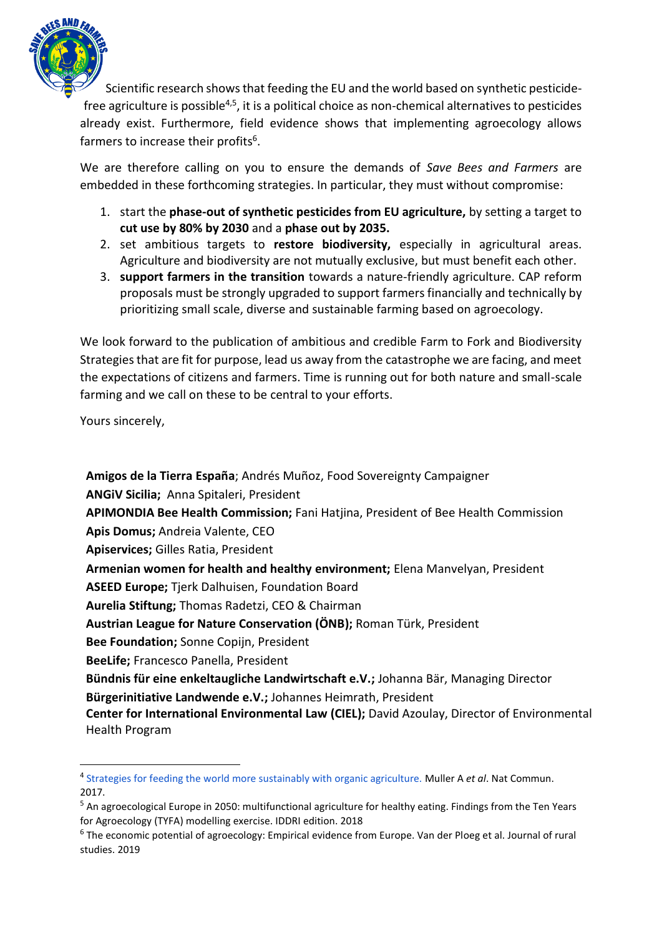

Scientific research shows that feeding the EU and the world based on synthetic pesticidefree agriculture is possible<sup>4,5</sup>, it is a political choice as non-chemical alternatives to pesticides already exist. Furthermore, field evidence shows that implementing agroecology allows farmers to increase their profits<sup>6</sup>.

We are therefore calling on you to ensure the demands of *Save Bees and Farmers* are embedded in these forthcoming strategies. In particular, they must without compromise:

- 1. start the **phase-out of synthetic pesticides from EU agriculture,** by setting a target to **cut use by 80% by 2030** and a **phase out by 2035.**
- 2. set ambitious targets to **restore biodiversity,** especially in agricultural areas. Agriculture and biodiversity are not mutually exclusive, but must benefit each other.
- 3. **support farmers in the transition** towards a nature-friendly agriculture. CAP reform proposals must be strongly upgraded to support farmers financially and technically by prioritizing small scale, diverse and sustainable farming based on agroecology.

We look forward to the publication of ambitious and credible Farm to Fork and Biodiversity Strategies that are fit for purpose, lead us away from the catastrophe we are facing, and meet the expectations of citizens and farmers. Time is running out for both nature and small-scale farming and we call on these to be central to your efforts.

Yours sincerely,

**Amigos de la Tierra España**; Andrés Muñoz, Food Sovereignty Campaigner **ANGiV Sicilia;** Anna Spitaleri, President **APIMONDIA Bee Health Commission;** Fani Hatjina, President of Bee Health Commission **Apis Domus;** Andreia Valente, CEO **Apiservices;** Gilles Ratia, President **Armenian women for health and healthy environment;** Elena Manvelyan, President **ASEED Europe;** Tjerk Dalhuisen, Foundation Board **Aurelia Stiftung;** Thomas Radetzi, CEO & Chairman **Austrian League for Nature Conservation (ÖNB);** Roman Türk, President **Bee Foundation;** Sonne Copijn, President **BeeLife;** Francesco Panella, President **Bündnis für eine enkeltaugliche Landwirtschaft e.V.;** Johanna Bär, Managing Director **Bürgerinitiative Landwende e.V.;** Johannes Heimrath, President **Center for International Environmental Law (CIEL);** David Azoulay, Director of Environmental Health Program

<sup>4</sup> [Strategies for feeding the world more sustainably with organic agriculture.](https://www.ncbi.nlm.nih.gov/pubmed/29138387) Muller A *et al*. Nat Commun. 2017.

<sup>&</sup>lt;sup>5</sup> An agroecological Europe in 2050: multifunctional agriculture for healthy eating. Findings from the Ten Years for Agroecology (TYFA) modelling exercise. IDDRI edition. 2018

<sup>&</sup>lt;sup>6</sup> The economic potential of agroecology: Empirical evidence from Europe. Van der Ploeg et al. Journal of rural studies. 2019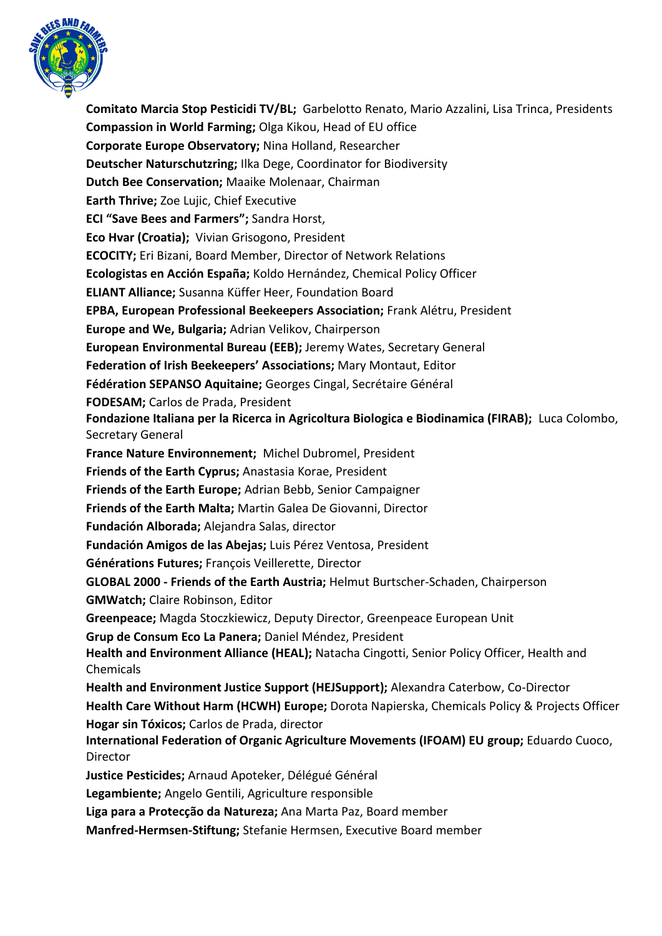

**Comitato Marcia Stop Pesticidi TV/BL;** Garbelotto Renato, Mario Azzalini, Lisa Trinca, Presidents **Compassion in World Farming;** Olga Kikou, Head of EU office **Corporate Europe Observatory;** Nina Holland, Researcher **Deutscher Naturschutzring;** Ilka Dege, Coordinator for Biodiversity **Dutch Bee Conservation;** Maaike Molenaar, Chairman **Earth Thrive;** Zoe Lujic, Chief Executive **ECI "Save Bees and Farmers";** Sandra Horst, **Eco Hvar (Croatia);** Vivian Grisogono, President **ECOCITY;** Eri Bizani, Board Member, Director of Network Relations **Ecologistas en Acción España;** Koldo Hernández, Chemical Policy Officer **ELIANT Alliance;** Susanna Küffer Heer, Foundation Board **EPBA, European Professional Beekeepers Association;** Frank Alétru, President **Europe and We, Bulgaria;** Adrian Velikov, Chairperson **European Environmental Bureau (EEB);** Jeremy Wates, Secretary General **Federation of Irish Beekeepers' Associations;** Mary Montaut, Editor **Fédération SEPANSO Aquitaine;** Georges Cingal, Secrétaire Général **FODESAM;** Carlos de Prada, President **Fondazione Italiana per la Ricerca in Agricoltura Biologica e Biodinamica (FIRAB);** Luca Colombo, Secretary General **France Nature Environnement;** Michel Dubromel, President **Friends of the Earth Cyprus;** Anastasia Korae, President **Friends of the Earth Europe;** Adrian Bebb, Senior Campaigner **Friends of the Earth Malta;** Martin Galea De Giovanni, Director **Fundación Alborada;** Alejandra Salas, director **Fundación Amigos de las Abejas;** Luis Pérez Ventosa, President **Générations Futures;** François Veillerette, Director **GLOBAL 2000 - Friends of the Earth Austria;** Helmut Burtscher-Schaden, Chairperson **GMWatch;** Claire Robinson, Editor **Greenpeace;** Magda Stoczkiewicz, Deputy Director, Greenpeace European Unit **Grup de Consum Eco La Panera;** Daniel Méndez, President **Health and Environment Alliance (HEAL);** Natacha Cingotti, Senior Policy Officer, Health and Chemicals **Health and Environment Justice Support (HEJSupport);** Alexandra Caterbow, Co-Director **Health Care Without Harm (HCWH) Europe;** Dorota Napierska, Chemicals Policy & Projects Officer **Hogar sin Tóxicos;** Carlos de Prada, director **International Federation of Organic Agriculture Movements (IFOAM) EU group;** Eduardo Cuoco, Director **Justice Pesticides;** Arnaud Apoteker, Délégué Général **Legambiente;** Angelo Gentili, Agriculture responsible **Liga para a Protecção da Natureza;** Ana Marta Paz, Board member **Manfred-Hermsen-Stiftung;** Stefanie Hermsen, Executive Board member